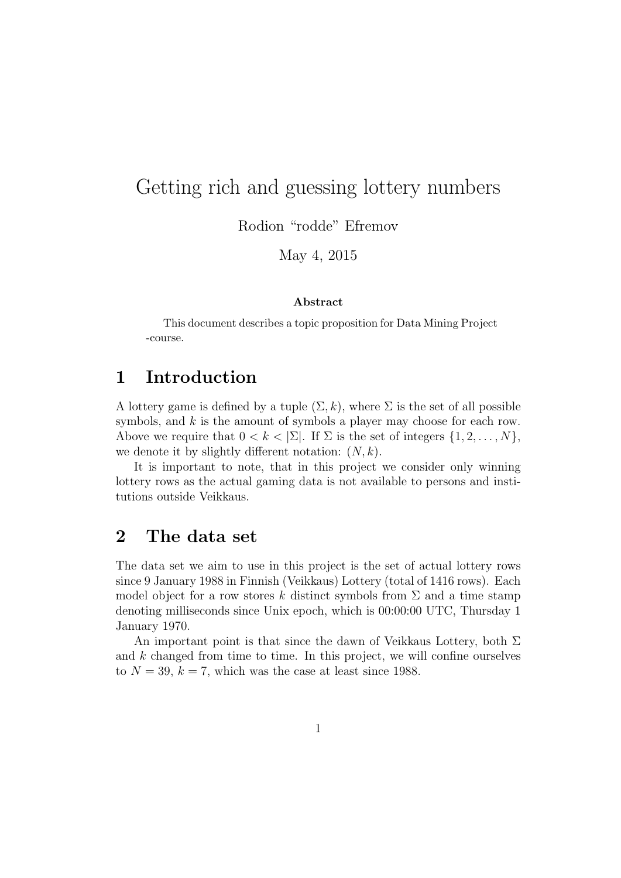# Getting rich and guessing lottery numbers

Rodion "rodde" Efremov

May 4, 2015

#### Abstract

This document describes a topic proposition for Data Mining Project -course.

## 1 Introduction

A lottery game is defined by a tuple  $(\Sigma, k)$ , where  $\Sigma$  is the set of all possible symbols, and  $k$  is the amount of symbols a player may choose for each row. Above we require that  $0 < k < |\Sigma|$ . If  $\Sigma$  is the set of integers  $\{1, 2, \ldots, N\}$ , we denote it by slightly different notation:  $(N, k)$ .

It is important to note, that in this project we consider only winning lottery rows as the actual gaming data is not available to persons and institutions outside Veikkaus.

## 2 The data set

The data set we aim to use in this project is the set of actual lottery rows since 9 January 1988 in Finnish (Veikkaus) Lottery (total of 1416 rows). Each model object for a row stores k distinct symbols from  $\Sigma$  and a time stamp denoting milliseconds since Unix epoch, which is 00:00:00 UTC, Thursday 1 January 1970.

An important point is that since the dawn of Veikkaus Lottery, both  $\Sigma$ and  $k$  changed from time to time. In this project, we will confine ourselves to  $N = 39$ ,  $k = 7$ , which was the case at least since 1988.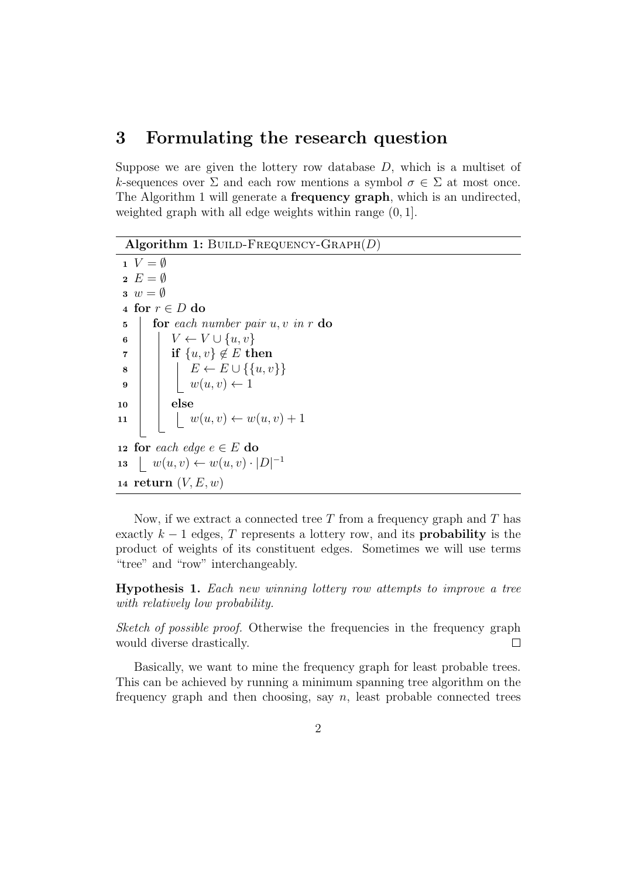#### 3 Formulating the research question

Suppose we are given the lottery row database  $D$ , which is a multiset of k-sequences over  $\Sigma$  and each row mentions a symbol  $\sigma \in \Sigma$  at most once. The Algorithm 1 will generate a **frequency graph**, which is an undirected, weighted graph with all edge weights within range (0, 1].

Algorithm 1: BUILD-FREQUENCY-GRAPH $(D)$ 

 $1 \quad V = \emptyset$  $2 E = \emptyset$  $3 w = \emptyset$ 4 for  $r \in D$  do 5 **for** each number pair  $u, v$  in r do 6 |  $V \leftarrow V \cup \{u, v\}$ 7 if  $\{u, v\} \notin E$  then 8  $\vert \vert E \leftarrow E \cup \{ \{u, v\} \}$  $9 \mid \cdot \cdot \cdot \cdot w(u, v) \leftarrow 1$  $10$  else 11  $\big| \big| \big| w(u, v) \leftarrow w(u, v) + 1$ 12 for each edge  $e \in E$  do 13  $| w(u, v) \leftarrow w(u, v) \cdot |D|^{-1}$ 14 return  $(V, E, w)$ 

Now, if we extract a connected tree  $T$  from a frequency graph and  $T$  has exactly  $k-1$  edges, T represents a lottery row, and its **probability** is the product of weights of its constituent edges. Sometimes we will use terms "tree" and "row" interchangeably.

Hypothesis 1. Each new winning lottery row attempts to improve a tree with relatively low probability.

Sketch of possible proof. Otherwise the frequencies in the frequency graph would diverse drastically.  $\Box$ 

Basically, we want to mine the frequency graph for least probable trees. This can be achieved by running a minimum spanning tree algorithm on the frequency graph and then choosing, say  $n$ , least probable connected trees